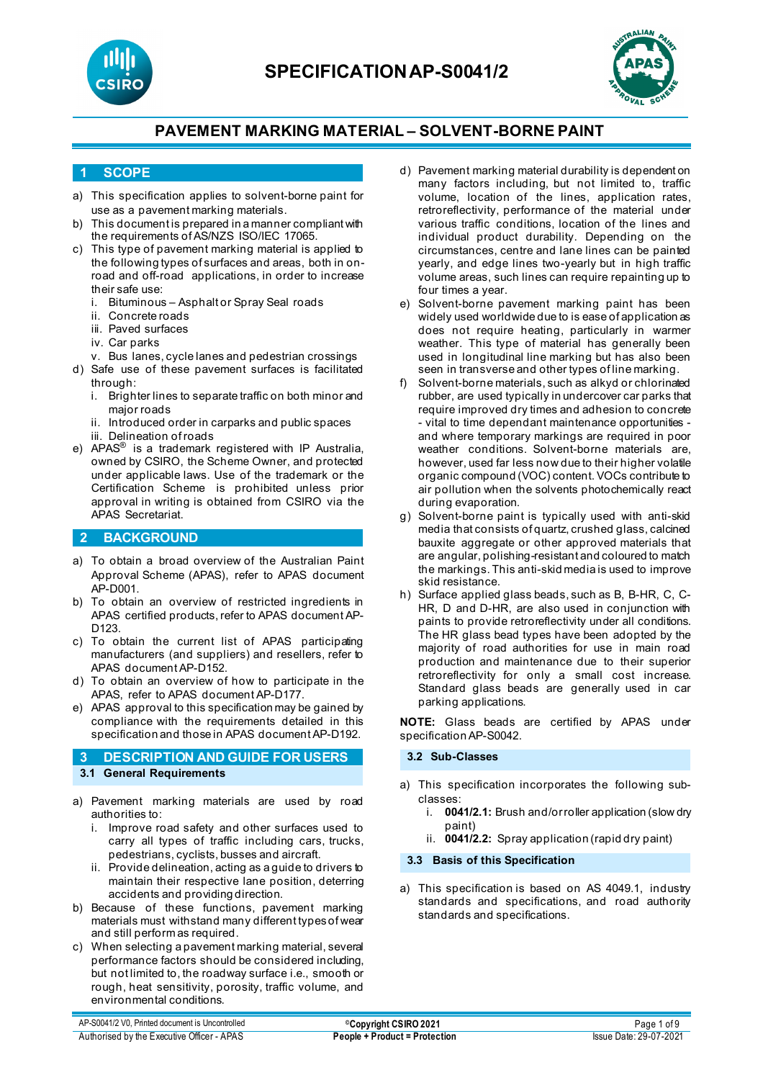



### **1 SCOPE**

- a) This specification applies to solvent-borne paint for use as a pavement marking materials.
- b) This document is prepared in a manner compliant with the requirements of AS/NZS ISO/IEC 17065.
- c) This type of pavement marking material is applied to the following types of surfaces and areas, both in onroad and off-road applications, in order to increase their safe use:
	- i. Bituminous Asphalt or Spray Seal roads
	- ii. Concrete roads
	- iii. Paved surfaces
	- iv. Car parks
	- v. Bus lanes, cycle lanes and pedestrian crossings
- d) Safe use of these pavement surfaces is facilitated through:
	- i. Brighter lines to separate traffic on both minor and major roads
	- ii. Introduced order in carparks and public spaces iii. Delineation of roads
- e) APAS® is a trademark registered with IP Australia, owned by CSIRO, the Scheme Owner, and protected under applicable laws. Use of the trademark or the Certification Scheme is prohibited unless prior approval in writing is obtained from CSIRO via the APAS Secretariat.

### **2 BACKGROUND**

- a) To obtain a broad overview of the Australian Paint Approval Scheme (APAS), refer to APAS document AP-D001.
- b) To obtain an overview of restricted ingredients in APAS certified products, refer to APAS document AP-D123.
- c) To obtain the current list of APAS participating manufacturers (and suppliers) and resellers, refer to APAS document AP-D152.
- d) To obtain an overview of how to participate in the APAS, refer to APAS document AP-D177.
- e) APAS approval to this specification may be gained by compliance with the requirements detailed in this specification and those in APAS document AP-D192.

### **3 DESCRIPTION AND GUIDE FOR USERS 3.1 General Requirements**

- a) Pavement marking materials are used by road authorities to:
	- i. Improve road safety and other surfaces used to carry all types of traffic including cars, trucks, pedestrians, cyclists, busses and aircraft.
	- ii. Provide delineation, acting as a guide to drivers to maintain their respective lane position, deterring accidents and providing direction.
- b) Because of these functions, pavement marking materials must withstand many different types of wear and still perform as required.
- c) When selecting a pavement marking material, several performance factors should be considered including, but not limited to, the roadway surface i.e., smooth or rough, heat sensitivity, porosity, traffic volume, and environmental conditions.
- d) Pavement marking material durability is dependent on many factors including, but not limited to, traffic volume, location of the lines, application rates, retroreflectivity, performance of the material under various traffic conditions, location of the lines and individual product durability. Depending on the circumstances, centre and lane lines can be painted yearly, and edge lines two-yearly but in high traffic volume areas, such lines can require repainting up to four times a year.
- e) Solvent-borne pavement marking paint has been widely used worldwide due to is ease of application as does not require heating, particularly in warmer weather. This type of material has generally been used in longitudinal line marking but has also been seen in transverse and other types of line marking.
- f) Solvent-borne materials, such as alkyd or chlorinated rubber, are used typically in undercover car parks that require improved dry times and adhesion to concrete - vital to time dependant maintenance opportunities and where temporary markings are required in poor weather conditions. Solvent-borne materials are, however, used far less now due to their higher volatile organic compound (VOC) content. VOCs contribute to air pollution when the solvents photochemically react during evaporation.
- g) Solvent-borne paint is typically used with anti-skid media that consists of quartz, crushed glass, calcined bauxite aggregate or other approved materials that are angular, polishing-resistant and coloured to match the markings. This anti-skid media is used to improve skid resistance.
- h) Surface applied glass beads, such as B, B-HR, C, C-HR, D and D-HR, are also used in conjunction with paints to provide retroreflectivity under all conditions. The HR glass bead types have been adopted by the majority of road authorities for use in main road production and maintenance due to their superior retroreflectivity for only a small cost increase. Standard glass beads are generally used in car parking applications.

**NOTE:** Glass beads are certified by APAS under specification AP-S0042.

### **3.2 Sub-Classes**

- a) This specification incorporates the following subclasses:
	- i. **0041/2.1:** Brush and/or roller application (slow dry paint)
	- ii. **0041/2.2:** Spray application (rapid dry paint)

### **3.3 Basis of this Specification**

a) This specification is based on AS 4049.1, industry standards and specifications, and road authority standards and specifications.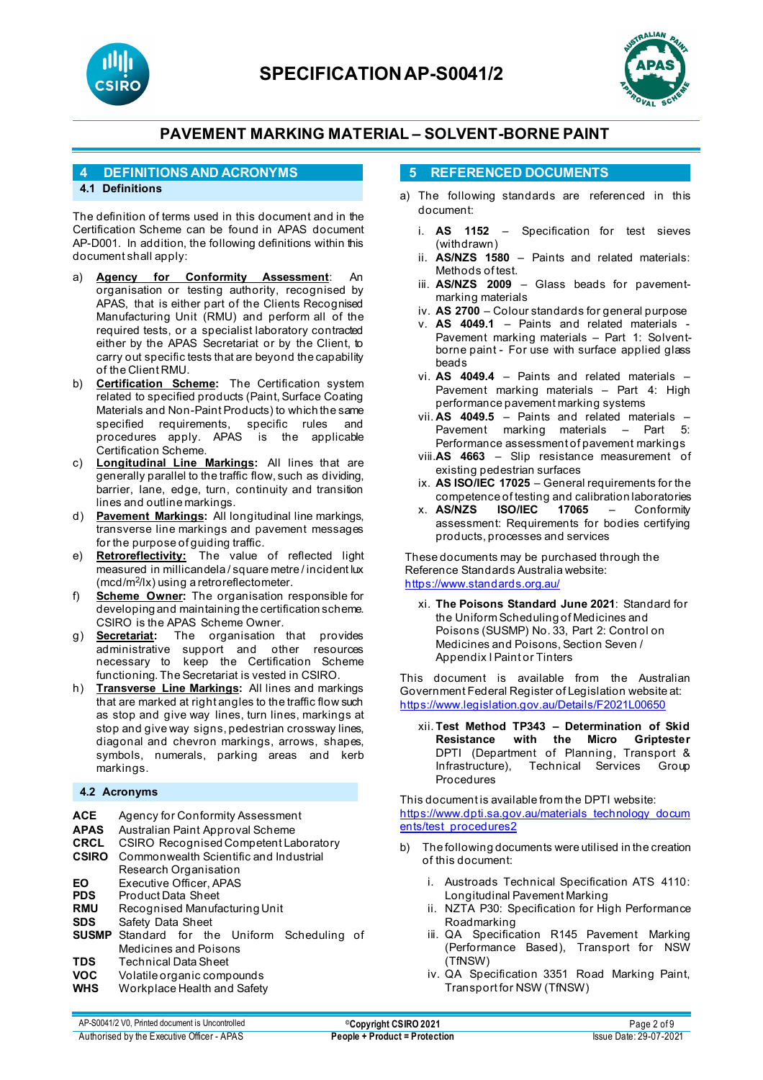



### **4 DEFINITIONS AND ACRONYMS**

### **4.1 Definitions**

The definition of terms used in this document and in the Certification Scheme can be found in APAS document AP-D001. In addition, the following definitions within this document shall apply:

- a) **Agency for Conformity Assessment**: An organisation or testing authority, recognised by APAS, that is either part of the Clients Recognised Manufacturing Unit (RMU) and perform all of the required tests, or a specialist laboratory contracted either by the APAS Secretariat or by the Client, to carry out specific tests that are beyond the capability of the Client RMU.
- b) **Certification Scheme:** The Certification system related to specified products (Paint, Surface Coating Materials and Non-Paint Products) to which the same specified requirements, specific rules and procedures apply. APAS is the applicable Certification Scheme.
- c) **Longitudinal Line Markings:** All lines that are generally parallel to the traffic flow, such as dividing, barrier, lane, edge, turn, continuity and transition lines and outline markings.
- d) **Pavement Markings:** All longitudinal line markings, transverse line markings and pavement messages for the purpose of guiding traffic.
- e) **Retroreflectivity:** The value of reflected light measured in millicandela / square metre / incident lux (mcd/m<sup>2</sup>/lx) using a retroreflectometer.
- f) **Scheme Owner:** The organisation responsible for developing and maintaining the certification scheme. CSIRO is the APAS Scheme Owner.
- g) **Secretariat:** The organisation that provides administrative support and other resources necessary to keep the Certification Scheme functioning. The Secretariat is vested in CSIRO.
- h) **Transverse Line Markings:** All lines and markings that are marked at right angles to the traffic flow such as stop and give way lines, turn lines, markings at stop and give way signs, pedestrian crossway lines, diagonal and chevron markings, arrows, shapes, symbols, numerals, parking areas and kerb markings.

### **4.2 Acronyms**

- **ACE** Agency for Conformity Assessment<br>**APAS** Australian Paint Approval Scheme
- **APAS** Australian Paint Approval Scheme
- **CRCL** CSIRO Recognised Competent Laboratory
- **CSIRO** Commonwealth Scientific and Industrial Research Organisation
- **EO** Executive Officer, APAS<br>**PDS** Product Data Sheet
- **PDS** Product Data Sheet<br> **RMU** Recognised Manufa
- **RMU** Recognised Manufacturing Unit<br>**SDS** Safety Data Sheet
- **Safety Data Sheet**
- **SUSMP** Standard for the Uniform Scheduling of Medicines and Poisons
- **TDS** Technical Data Sheet<br>**VOC** Volatile organic comp
- **VOC** Volatile organic compounds<br>
WHS Workplace Health and Safety
- **Workplace Health and Safety**

### **5 REFERENCED DOCUMENTS**

- a) The following standards are referenced in this document:
	- i. **AS 1152** Specification for test sieves (withdrawn)
	- ii. **AS/NZS 1580** Paints and related materials: Methods of test.
	- iii. **AS/NZS 2009**  Glass beads for pavementmarking materials
	- iv. **AS 2700**  Colour standards for general purpose
	- v. **AS 4049.1** [Paints and related materials -](https://www.saiglobal.com/online/Script/Details.asp?DocN=AS0733764320AT) [Pavement marking materials –](https://www.saiglobal.com/online/Script/Details.asp?DocN=AS0733764320AT) Part 1: Solventborne paint - For use with surface applied glass [beads](https://www.saiglobal.com/online/Script/Details.asp?DocN=AS0733764320AT)
	- vi. **AS 4049.4** Paints and related materials Pavement marking materials – Part 4: High performance pavement marking systems
	- vii. **AS 4049.5** Paints and related materials Pavement marking materials – Part 5: Performance assessment of pavement markings
	- viii.**AS 4663**  Slip resistance measurement of existing pedestrian surfaces
	- ix. **AS ISO/IEC 17025** General requirements for the competence of testing and calibration laboratories<br> **AS/NZS** ISO/IEC 17065 - Conformity
	- x. **AS/NZS ISO/IEC 17065**  Conformity assessment: Requirements for bodies certifying products, processes and services

These documents may be purchased through the Reference Standards Australia website: <https://www.standards.org.au/>

xi. **The Poisons Standard June 2021**: Standard for the Uniform Scheduling of Medicines and Poisons (SUSMP) No. 33, Part 2: Control on Medicines and Poisons, Section Seven / Appendix I Paint or Tinters

This document is available from the Australian Government Federal Register of Legislation website at: <https://www.legislation.gov.au/Details/F2021L00650>

xii. **Test Method TP343 – Determination of Skid Resistance with the Micro Griptester** DPTI (Department of Planning, Transport & Technical Services Group **Procedures** 

This document is available from the DPTI website: [https://www.dpti.sa.gov.au/materials\\_technology\\_docum](https://www.dpti.sa.gov.au/materials_technology_documents/test_procedures2) [ents/test\\_procedures2](https://www.dpti.sa.gov.au/materials_technology_documents/test_procedures2)

- b) The following documents were utilised in the creation of this document:
	- i. Austroads Technical Specification ATS 4110: Longitudinal Pavement Marking
	- ii. NZTA P30: Specification for High Performance Roadmarking
	- iii. QA Specification R145 Pavement Marking (Performance Based), Transport for NSW (TfNSW)
	- iv. QA Specification 3351 Road Marking Paint, Transport for NSW (TfNSW)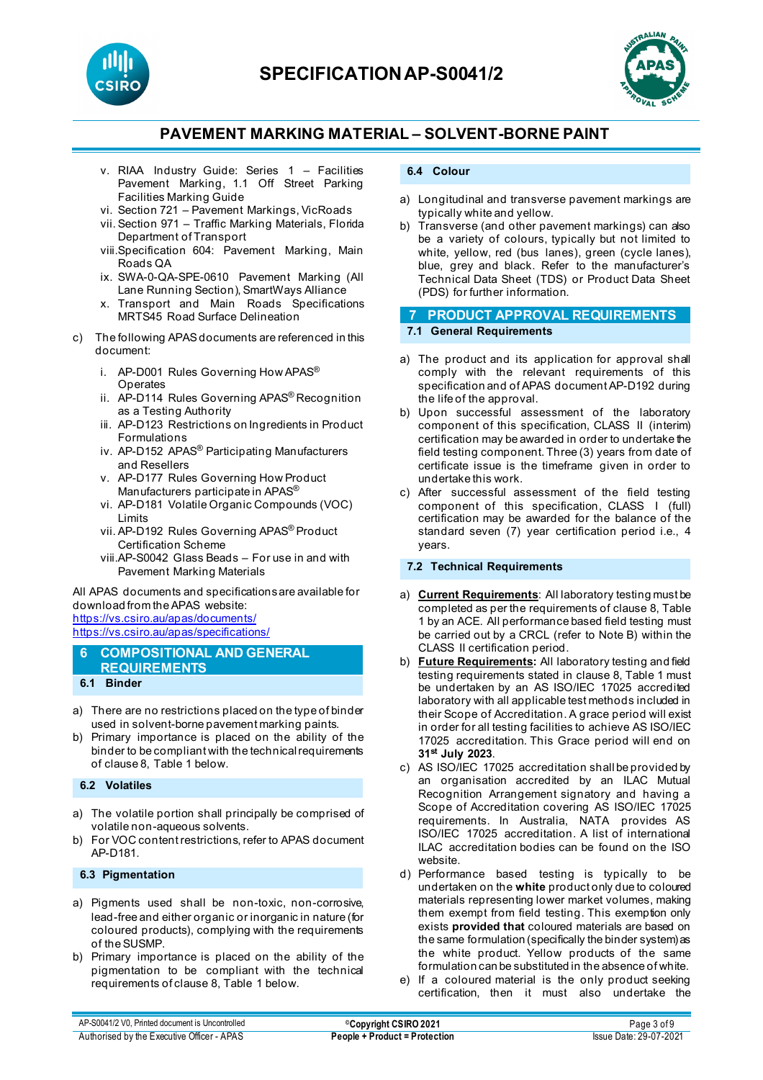



- v. RIAA Industry Guide: Series 1 Facilities Pavement Marking, 1.1 Off Street Parking Facilities Marking Guide
- vi. Section 721 Pavement Markings, VicRoads
- vii. Section 971 Traffic Marking Materials, Florida Department of Transport
- viii.Specification 604: Pavement Marking, Main Roads QA
- ix. SWA-0-QA-SPE-0610 Pavement Marking (All Lane Running Section), SmartWays Alliance
- x. Transport and Main Roads Specifications MRTS45 Road Surface Delineation
- c) The following APAS documents are referenced in this document:
	- i. AP-D001 Rules Governing How APAS® **Operates**
	- ii. AP-D114 Rules Governing APAS® Recognition as a Testing Authority
	- iii. AP-D123 Restrictions on Ingredients in Product Formulations
	- iv. AP-D152 APAS® Participating Manufacturers and Resellers
	- v. AP-D177 Rules Governing How Product Manufacturers participate in APAS®
	- vi. AP-D181 Volatile Organic Compounds (VOC) Limits
	- vii. AP-D192 Rules Governing APAS® Product Certification Scheme
	- viii.AP-S0042 Glass Beads For use in and with Pavement Marking Materials

All APAS documents and specifications are available for download from the APAS website: <https://vs.csiro.au/apas/documents/>

<https://vs.csiro.au/apas/specifications/>

- **6 COMPOSITIONAL AND GENERAL REQUIREMENTS 6.1 Binder**
- a) There are no restrictions placed on the type of binder used in solvent-borne pavement marking paints.
- b) Primary importance is placed on the ability of the binder to be compliant with the technical requirements of clause 8, Table 1 below.

### **6.2 Volatiles**

- a) The volatile portion shall principally be comprised of volatile non-aqueous solvents.
- b) For VOC content restrictions, refer to APAS document AP-D181.

### **6.3 Pigmentation**

- a) Pigments used shall be non-toxic, non-corrosive, lead-free and either organic or inorganic in nature (for coloured products), complying with the requirements of the SUSMP.
- b) Primary importance is placed on the ability of the pigmentation to be compliant with the technical requirements of clause 8, Table 1 below.

#### **6.4 Colour**

- a) Longitudinal and transverse pavement markings are typically white and yellow.
- b) Transverse (and other pavement markings) can also be a variety of colours, typically but not limited to white, yellow, red (bus lanes), green (cycle lanes), blue, grey and black. Refer to the manufacturer's Technical Data Sheet (TDS) or Product Data Sheet (PDS) for further information.

# **7 PRODUCT APPROVAL REQUIREMENTS**

**7.1 General Requirements**

- a) The product and its application for approval shall comply with the relevant requirements of this specification and of APAS document AP-D192 during the life of the approval.
- b) Upon successful assessment of the laboratory component of this specification, CLASS II (interim) certification may be awarded in order to undertake the field testing component. Three (3) years from date of certificate issue is the timeframe given in order to undertake this work.
- c) After successful assessment of the field testing component of this specification, CLASS I (full) certification may be awarded for the balance of the standard seven (7) year certification period i.e., 4 years.

### **7.2 Technical Requirements**

- a) **Current Requirements**: All laboratory testing must be completed as per the requirements of clause 8, Table 1 by an ACE. All performance based field testing must be carried out by a CRCL (refer to Note B) within the CLASS II certification period.
- b) **Future Requirements:** All laboratory testing and field testing requirements stated in clause 8, Table 1 must be undertaken by an AS ISO/IEC 17025 accredited laboratory with all applicable test methods included in their Scope of Accreditation. A grace period will exist in order for all testing facilities to achieve AS ISO/IEC 17025 accreditation. This Grace period will end on **31st July 2023**.
- c) AS ISO/IEC 17025 accreditation shall be provided by an organisation accredited by an ILAC Mutual Recognition Arrangement signatory and having a Scope of Accreditation covering AS ISO/IEC 17025 requirements. In Australia, NATA provides AS ISO/IEC 17025 accreditation. A list of international ILAC accreditation bodies can be found on the ISO website.
- d) Performance based testing is typically to be undertaken on the **white** product only due to coloured materials representing lower market volumes, making them exempt from field testing. This exemption only exists **provided that** coloured materials are based on the same formulation (specifically the binder system) as the white product. Yellow products of the same formulation can be substituted in the absence of white.
- e) If a coloured material is the only product seeking certification, then it must also undertake the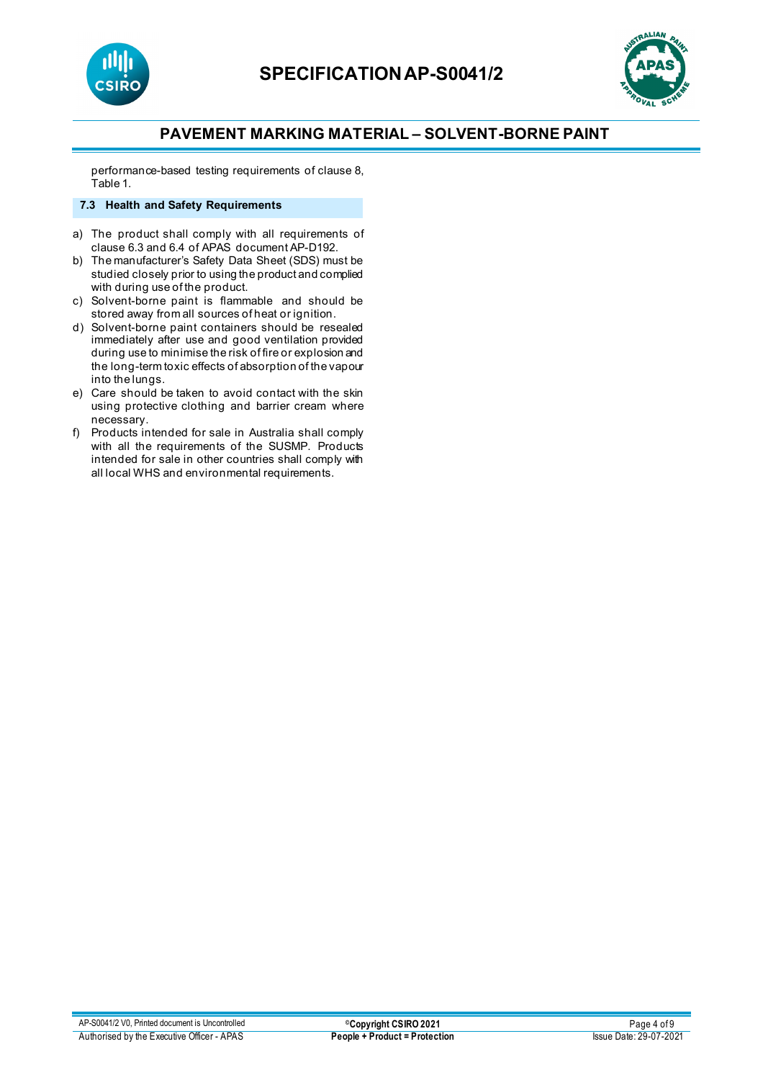



performance-based testing requirements of clause 8, Table 1.

### **7.3 Health and Safety Requirements**

- a) The product shall comply with all requirements of clause 6.3 and 6.4 of APAS document AP-D192.
- b) The manufacturer's Safety Data Sheet (SDS) must be studied closely prior to using the product and complied with during use of the product.
- c) Solvent-borne paint is flammable and should be stored away from all sources of heat or ignition.
- d) Solvent-borne paint containers should be resealed immediately after use and good ventilation provided during use to minimise the risk of fire or explosion and the long-term toxic effects of absorption of the vapour into the lungs.
- e) Care should be taken to avoid contact with the skin using protective clothing and barrier cream where necessary.
- f) Products intended for sale in Australia shall comply with all the requirements of the SUSMP. Products intended for sale in other countries shall comply with all local WHS and environmental requirements.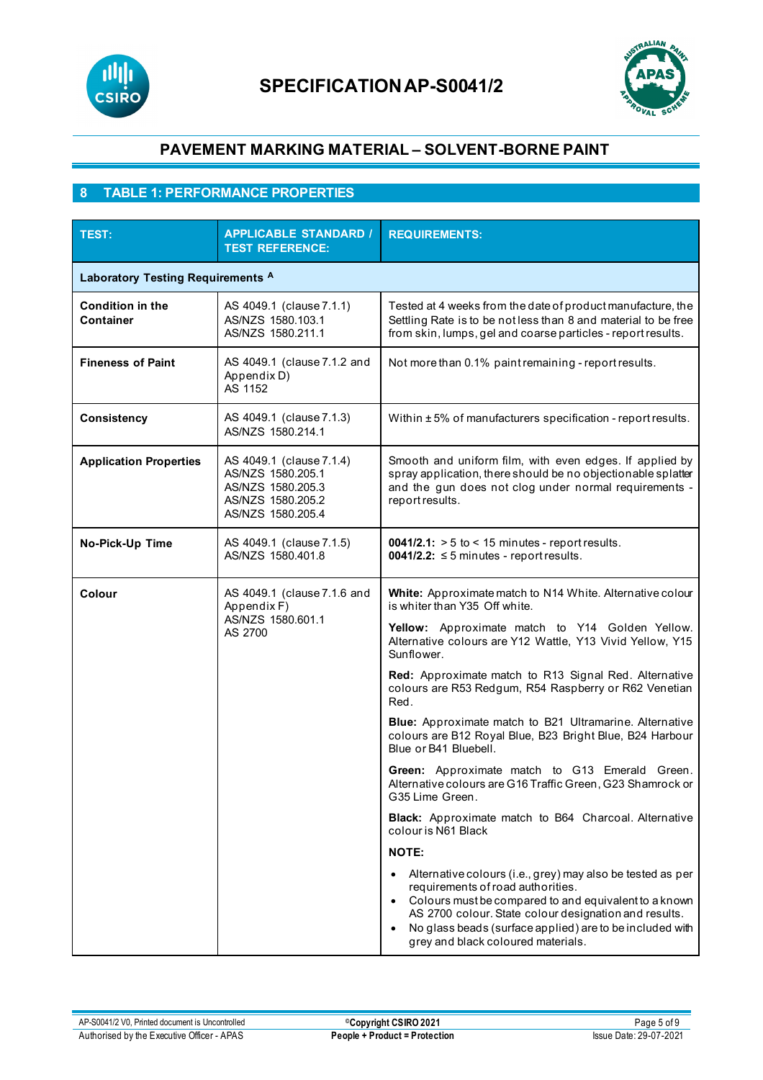



# **8 TABLE 1: PERFORMANCE PROPERTIES**

| TEST:                                       | <b>APPLICABLE STANDARD /</b><br><b>TEST REFERENCE:</b>                                                       | <b>REQUIREMENTS:</b>                                                                                                                                                                                                                                                                                                             |  |  |
|---------------------------------------------|--------------------------------------------------------------------------------------------------------------|----------------------------------------------------------------------------------------------------------------------------------------------------------------------------------------------------------------------------------------------------------------------------------------------------------------------------------|--|--|
| Laboratory Testing Requirements A           |                                                                                                              |                                                                                                                                                                                                                                                                                                                                  |  |  |
| <b>Condition in the</b><br><b>Container</b> | AS 4049.1 (clause 7.1.1)<br>AS/NZS 1580.103.1<br>AS/NZS 1580.211.1                                           | Tested at 4 weeks from the date of product manufacture, the<br>Settling Rate is to be not less than 8 and material to be free<br>from skin, lumps, gel and coarse particles - report results.                                                                                                                                    |  |  |
| <b>Fineness of Paint</b>                    | AS 4049.1 (clause 7.1.2 and<br>Appendix D)<br>AS 1152                                                        | Not more than 0.1% paint remaining - report results.                                                                                                                                                                                                                                                                             |  |  |
| Consistency                                 | AS 4049.1 (clause 7.1.3)<br>AS/NZS 1580.214.1                                                                | Within ±5% of manufacturers specification - report results.                                                                                                                                                                                                                                                                      |  |  |
| <b>Application Properties</b>               | AS 4049.1 (clause 7.1.4)<br>AS/NZS 1580.205.1<br>AS/NZS 1580.205.3<br>AS/NZS 1580.205.2<br>AS/NZS 1580.205.4 | Smooth and uniform film, with even edges. If applied by<br>spray application, there should be no objectionable splatter<br>and the gun does not clog under normal requirements -<br>report results.                                                                                                                              |  |  |
| No-Pick-Up Time                             | AS 4049.1 (clause 7.1.5)<br>AS/NZS 1580.401.8                                                                | $0041/2.1$ : > 5 to < 15 minutes - report results.<br>0041/2.2: $\leq$ 5 minutes - report results.                                                                                                                                                                                                                               |  |  |
| Colour                                      | AS 4049.1 (clause 7.1.6 and<br>Appendix F)<br>AS/NZS 1580.601.1<br>AS 2700                                   | White: Approximate match to N14 White. Alternative colour<br>is whiter than Y35 Off white.                                                                                                                                                                                                                                       |  |  |
|                                             |                                                                                                              | Yellow: Approximate match to Y14 Golden Yellow.<br>Alternative colours are Y12 Wattle, Y13 Vivid Yellow, Y15<br>Sunflower.                                                                                                                                                                                                       |  |  |
|                                             |                                                                                                              | Red: Approximate match to R13 Signal Red. Alternative<br>colours are R53 Redgum, R54 Raspberry or R62 Venetian<br>Red.                                                                                                                                                                                                           |  |  |
|                                             |                                                                                                              | Blue: Approximate match to B21 Ultramarine. Alternative<br>colours are B12 Royal Blue, B23 Bright Blue, B24 Harbour<br>Blue or B41 Bluebell.                                                                                                                                                                                     |  |  |
|                                             |                                                                                                              | Green: Approximate match to G13 Emerald Green.<br>Alternative colours are G16 Traffic Green, G23 Shamrock or<br>G35 Lime Green.                                                                                                                                                                                                  |  |  |
|                                             |                                                                                                              | <b>Black:</b> Approximate match to B64 Charcoal. Alternative<br>colour is N61 Black                                                                                                                                                                                                                                              |  |  |
|                                             |                                                                                                              | <b>NOTE:</b>                                                                                                                                                                                                                                                                                                                     |  |  |
|                                             |                                                                                                              | Alternative colours (i.e., grey) may also be tested as per<br>requirements of road authorities.<br>Colours must be compared to and equivalent to a known<br>AS 2700 colour. State colour designation and results.<br>No glass beads (surface applied) are to be included with<br>$\bullet$<br>grey and black coloured materials. |  |  |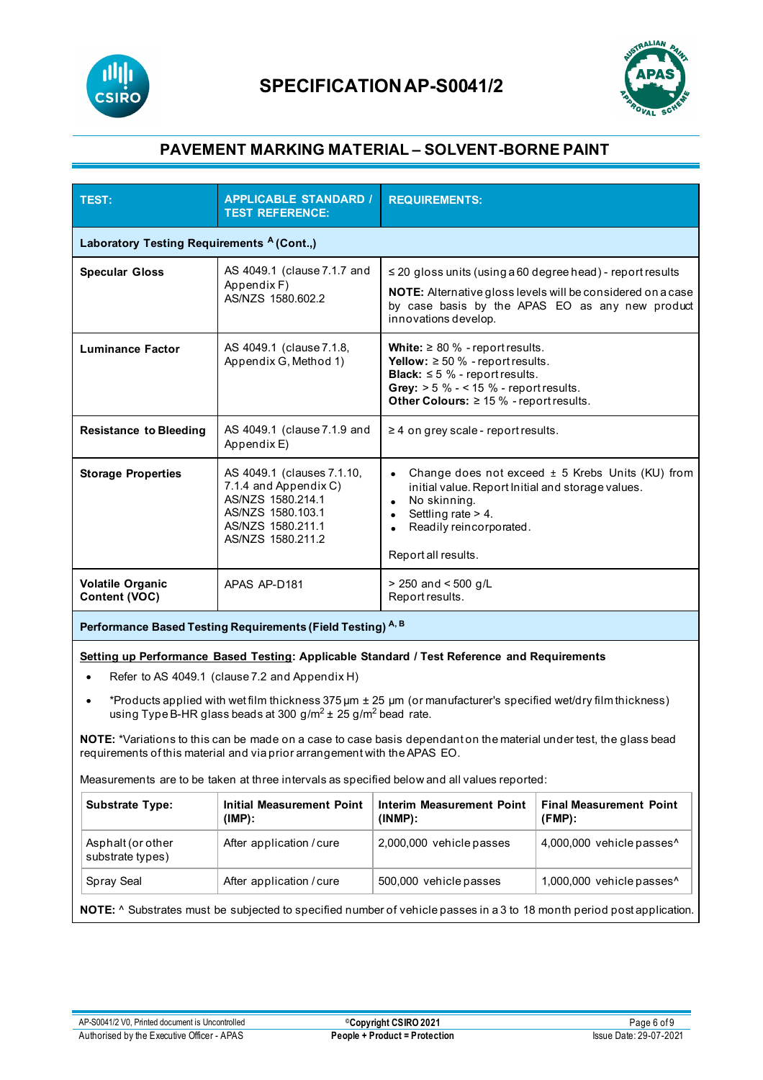



| <b>TEST:</b>                                                                                                                                                                                                                                                                                                                                      | <b>APPLICABLE STANDARD /</b><br><b>TEST REFERENCE:</b>                                                                                  | <b>REQUIREMENTS:</b>                                                                                                                                                                                                           |                                                                                                                |  |
|---------------------------------------------------------------------------------------------------------------------------------------------------------------------------------------------------------------------------------------------------------------------------------------------------------------------------------------------------|-----------------------------------------------------------------------------------------------------------------------------------------|--------------------------------------------------------------------------------------------------------------------------------------------------------------------------------------------------------------------------------|----------------------------------------------------------------------------------------------------------------|--|
| Laboratory Testing Requirements <sup>A</sup> (Cont.,)                                                                                                                                                                                                                                                                                             |                                                                                                                                         |                                                                                                                                                                                                                                |                                                                                                                |  |
| <b>Specular Gloss</b>                                                                                                                                                                                                                                                                                                                             | AS 4049.1 (clause 7.1.7 and<br>Appendix F)<br>AS/NZS 1580.602.2                                                                         | $\leq$ 20 gloss units (using a 60 degree head) - report results<br>innovations develop.                                                                                                                                        | NOTE: Alternative gloss levels will be considered on a case<br>by case basis by the APAS EO as any new product |  |
| <b>Luminance Factor</b>                                                                                                                                                                                                                                                                                                                           | AS 4049.1 (clause 7.1.8,<br>Appendix G, Method 1)                                                                                       | White: $\geq 80$ % - report results.<br><b>Yellow:</b> $\geq 50$ % - report results.<br><b>Black:</b> $\leq$ 5 % - report results.<br>Grey: $> 5 \% - 15 \%$ - report results.<br>Other Colours: $\geq 15$ % - report results. |                                                                                                                |  |
| <b>Resistance to Bleeding</b>                                                                                                                                                                                                                                                                                                                     | AS 4049.1 (clause 7.1.9 and<br>Appendix E)                                                                                              | $\geq$ 4 on grey scale - report results.                                                                                                                                                                                       |                                                                                                                |  |
| <b>Storage Properties</b>                                                                                                                                                                                                                                                                                                                         | AS 4049.1 (clauses 7.1.10,<br>7.1.4 and Appendix C)<br>AS/NZS 1580.214.1<br>AS/NZS 1580.103.1<br>AS/NZS 1580.211.1<br>AS/NZS 1580.211.2 | initial value. Report Initial and storage values.<br>No skinning.<br>Settling rate > 4.<br>$\bullet$<br>Readily reincorporated.<br>Report all results.                                                                         | Change does not exceed ± 5 Krebs Units (KU) from                                                               |  |
| <b>Volatile Organic</b><br>Content (VOC)                                                                                                                                                                                                                                                                                                          | APAS AP-D181                                                                                                                            | $> 250$ and $< 500$ g/L<br>Report results.                                                                                                                                                                                     |                                                                                                                |  |
| Performance Based Testing Requirements (Field Testing) A, B                                                                                                                                                                                                                                                                                       |                                                                                                                                         |                                                                                                                                                                                                                                |                                                                                                                |  |
| Setting up Performance Based Testing: Applicable Standard / Test Reference and Requirements<br>Refer to AS 4049.1 (clause 7.2 and Appendix H)<br>*Products applied with wet film thickness 375 µm ± 25 µm (or manufacturer's specified wet/dry film thickness)<br>$\bullet$<br>using Type B-HR glass beads at 300 $g/m^2 \pm 25 g/m^2$ bead rate. |                                                                                                                                         |                                                                                                                                                                                                                                |                                                                                                                |  |
| NOTE: *Variations to this can be made on a case to case basis dependant on the material under test, the glass bead<br>requirements of this material and via prior arrangement with the APAS EO.                                                                                                                                                   |                                                                                                                                         |                                                                                                                                                                                                                                |                                                                                                                |  |
| Measurements are to be taken at three intervals as specified below and all values reported:                                                                                                                                                                                                                                                       |                                                                                                                                         |                                                                                                                                                                                                                                |                                                                                                                |  |
| <b>Substrate Type:</b>                                                                                                                                                                                                                                                                                                                            | <b>Initial Measurement Point</b><br>$(IMP)$ :                                                                                           | <b>Interim Measurement Point</b><br>$(INMP)$ :                                                                                                                                                                                 | <b>Final Measurement Point</b><br>$(FMP)$ :                                                                    |  |
| Asphalt (or other<br>substrate types)                                                                                                                                                                                                                                                                                                             | After application / cure                                                                                                                | 2,000,000 vehicle passes                                                                                                                                                                                                       | 4,000,000 vehicle passes^                                                                                      |  |
| Spray Seal                                                                                                                                                                                                                                                                                                                                        | After application / cure                                                                                                                | 500,000 vehicle passes                                                                                                                                                                                                         | 1,000,000 vehicle passes^                                                                                      |  |
| NOTE: ^ Substrates must be subjected to specified number of vehicle passes in a 3 to 18 month period post application.                                                                                                                                                                                                                            |                                                                                                                                         |                                                                                                                                                                                                                                |                                                                                                                |  |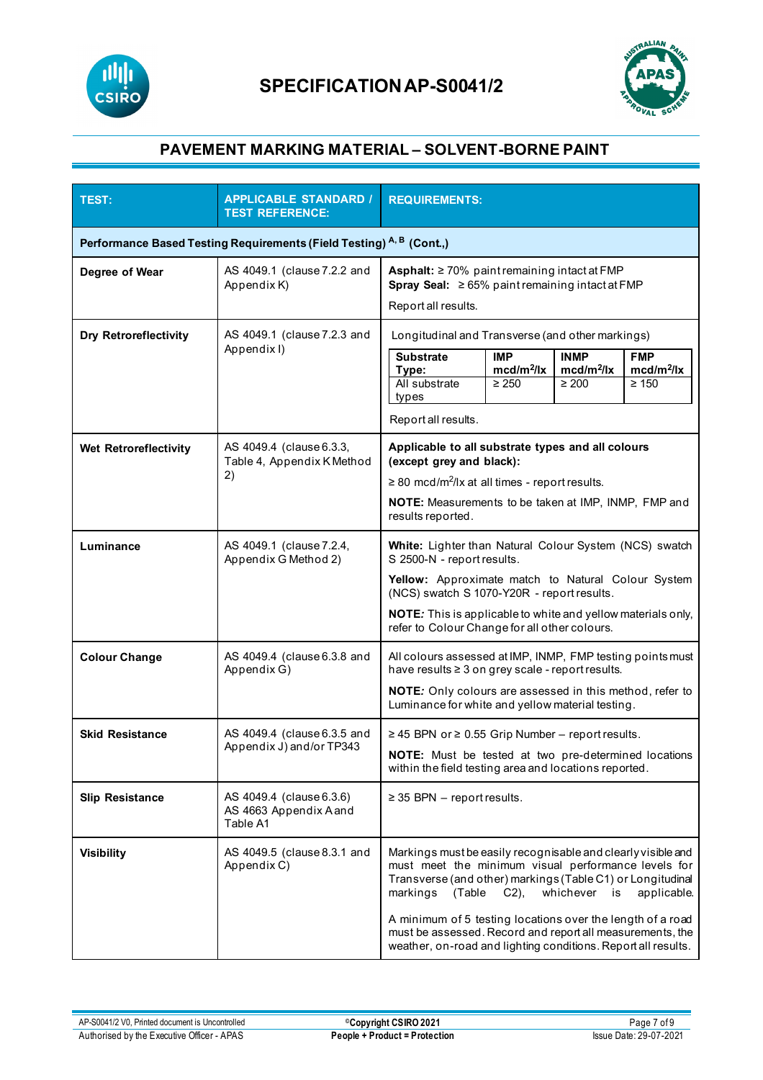



| TEST:                                                                | <b>APPLICABLE STANDARD /</b><br><b>TEST REFERENCE:</b>         | <b>REQUIREMENTS:</b>                                                                                                                                                                                                                                                                                                                                                                                                                    |  |  |
|----------------------------------------------------------------------|----------------------------------------------------------------|-----------------------------------------------------------------------------------------------------------------------------------------------------------------------------------------------------------------------------------------------------------------------------------------------------------------------------------------------------------------------------------------------------------------------------------------|--|--|
| Performance Based Testing Requirements (Field Testing) A, B (Cont.,) |                                                                |                                                                                                                                                                                                                                                                                                                                                                                                                                         |  |  |
| Degree of Wear                                                       | AS 4049.1 (clause 7.2.2 and<br>Appendix K)                     | Asphalt: $\geq$ 70% paint remaining intact at FMP<br>Spray Seal: $\geq 65\%$ paint remaining intact at FMP<br>Report all results.                                                                                                                                                                                                                                                                                                       |  |  |
| <b>Dry Retroreflectivity</b>                                         | AS 4049.1 (clause 7.2.3 and<br>Appendix I)                     | Longitudinal and Transverse (and other markings)                                                                                                                                                                                                                                                                                                                                                                                        |  |  |
|                                                                      |                                                                | <b>Substrate</b><br><b>IMP</b><br><b>INMP</b><br><b>FMP</b><br>$\text{mcd/m}^2/\text{lx}$<br>$mcd/m^2/lx$<br>$mcd/m^2/lx$<br>Type:<br>All substrate<br>$\geq 250$<br>$\geq 200$<br>$\geq 150$<br>types                                                                                                                                                                                                                                  |  |  |
|                                                                      |                                                                | Report all results.                                                                                                                                                                                                                                                                                                                                                                                                                     |  |  |
| Wet Retroreflectivity                                                | AS 4049.4 (clause 6.3.3,<br>Table 4, Appendix K Method<br>2)   | Applicable to all substrate types and all colours<br>(except grey and black):<br>$\geq$ 80 mcd/m <sup>2</sup> /lx at all times - report results.<br><b>NOTE:</b> Measurements to be taken at IMP, INMP, FMP and<br>results reported.                                                                                                                                                                                                    |  |  |
| Luminance                                                            | AS 4049.1 (clause 7.2.4,<br>Appendix G Method 2)               | White: Lighter than Natural Colour System (NCS) swatch<br>S 2500-N - report results.<br>Yellow: Approximate match to Natural Colour System<br>(NCS) swatch S 1070-Y20R - report results.<br>NOTE: This is applicable to white and yellow materials only,<br>refer to Colour Change for all other colours.                                                                                                                               |  |  |
| <b>Colour Change</b>                                                 | AS 4049.4 (clause 6.3.8 and<br>Appendix G)                     | All colours assessed at IMP, INMP, FMP testing points must<br>have results ≥ 3 on grey scale - report results.<br>NOTE: Only colours are assessed in this method, refer to<br>Luminance for white and yellow material testing.                                                                                                                                                                                                          |  |  |
| <b>Skid Resistance</b>                                               | AS 4049.4 (clause 6.3.5 and<br>Appendix J) and/or TP343        | ≥ 45 BPN or ≥ 0.55 Grip Number - report results.<br>NOTE: Must be tested at two pre-determined locations<br>within the field testing area and locations reported.                                                                                                                                                                                                                                                                       |  |  |
| <b>Slip Resistance</b>                                               | AS 4049.4 (clause 6.3.6)<br>AS 4663 Appendix A and<br>Table A1 | $\geq$ 35 BPN - report results.                                                                                                                                                                                                                                                                                                                                                                                                         |  |  |
| <b>Visibility</b>                                                    | AS 4049.5 (clause 8.3.1 and<br>Appendix C)                     | Markings must be easily recognisable and clearly visible and<br>must meet the minimum visual performance levels for<br>Transverse (and other) markings (Table C1) or Longitudinal<br>(Table C2),<br>whichever is<br>markings<br>applicable.<br>A minimum of 5 testing locations over the length of a road<br>must be assessed. Record and report all measurements, the<br>weather, on-road and lighting conditions. Report all results. |  |  |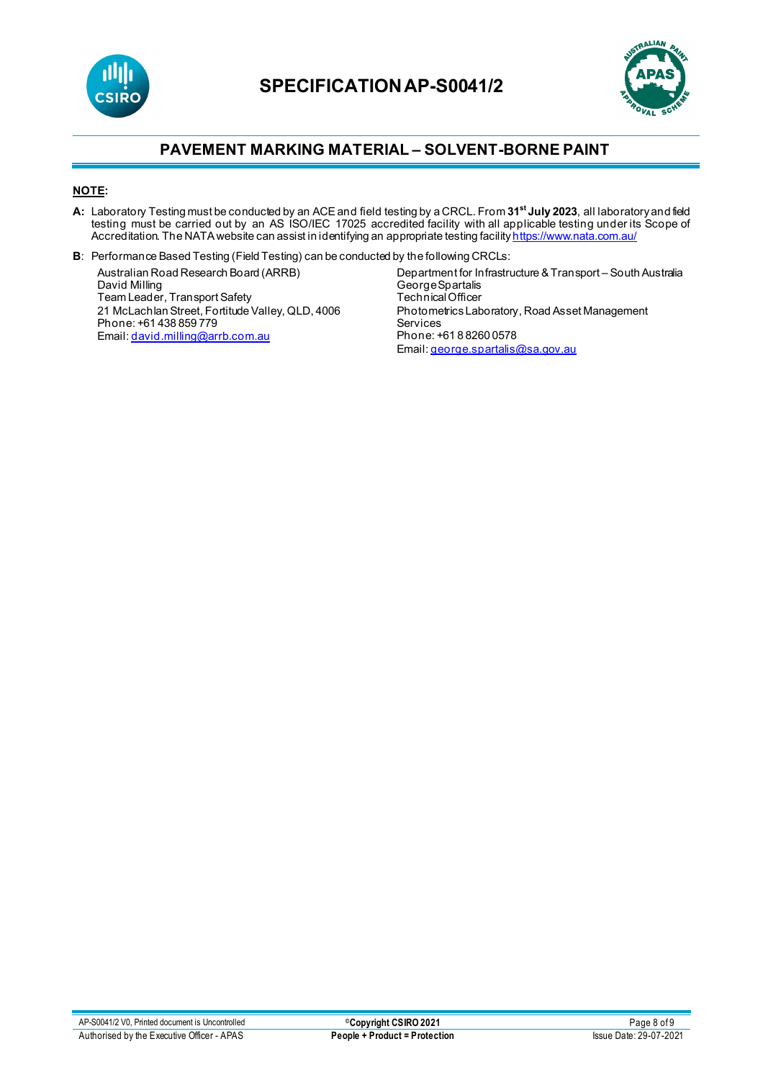



### **NOTE:**

- **A:** Laboratory Testing must be conducted by an ACEand field testing by a CRCL. From **31st July 2023**, all laboratory and field testing must be carried out by an AS ISO/IEC 17025 accredited facility with all applicable testing under its Scope of Accreditation. The NATA website can assist in identifying an appropriate testing facilit<u>[y https://www.nata.com.au/](https://www.nata.com.au/)</u>
- **B**: Performance Based Testing (Field Testing) can be conducted by the following CRCLs:

Australian Road Research Board (ARRB) David Milling Team Leader, Transport Safety 21 McLachlan Street, Fortitude Valley, QLD, 4006 Phone: +61 438 859 779 Email[: david.milling@arrb.com.au](mailto:david.milling@arrb.com.au)

Department for Infrastructure & Transport – South Australia George Spartalis Technical Officer Photometrics Laboratory, Road Asset Management Services Phone: +61 8 8260 0578 Email[: george.spartalis@sa.gov.au](mailto:george.spartalis@sa.gov.au)